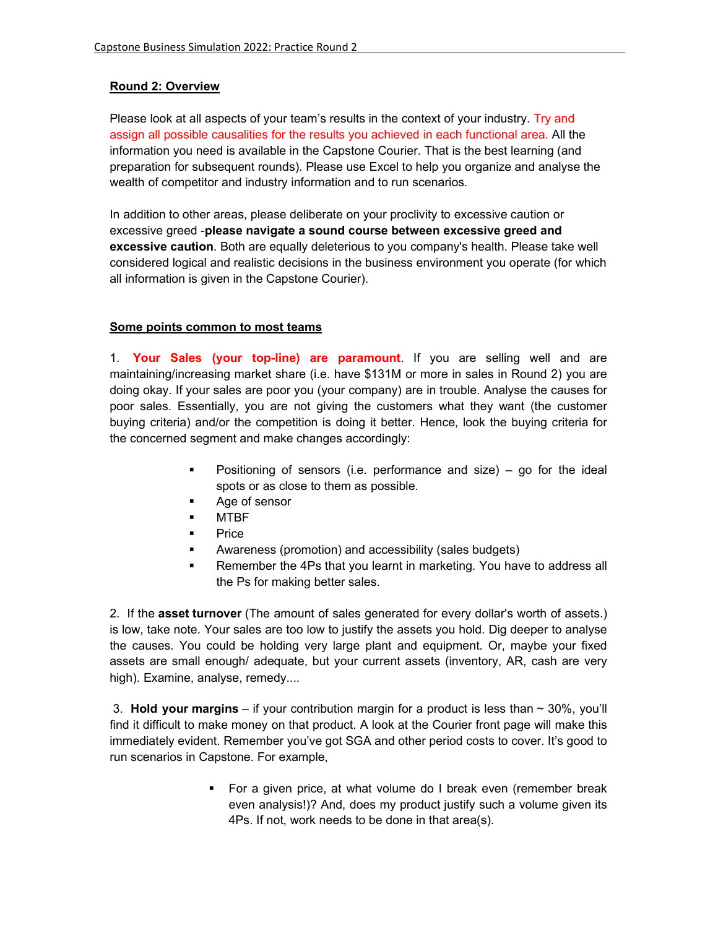# **Round 2: Overview**

Please look at all aspects of your team's results in the context of your industry. Try and assign all possible causalities for the results you achieved in each functional area. All the information you need is available in the Capstone Courier. That is the best learning (and preparation for subsequent rounds). Please use Excel to help you organize and analyse the wealth of competitor and industry information and to run scenarios.

In addition to other areas, please deliberate on your proclivity to excessive caution or excessive greed -**please navigate a sound course between excessive greed and excessive caution**. Both are equally deleterious to you company's health. Please take well considered logical and realistic decisions in the business environment you operate (for which all information is given in the Capstone Courier).

## **Some points common to most teams**

1. **Your Sales (your top-line) are paramount**. If you are selling well and are maintaining/increasing market share (i.e. have \$131M or more in sales in Round 2) you are doing okay. If your sales are poor you (your company) are in trouble. Analyse the causes for poor sales. Essentially, you are not giving the customers what they want (the customer buying criteria) and/or the competition is doing it better. Hence, look the buying criteria for the concerned segment and make changes accordingly:

- **•** Positioning of sensors (i.e. performance and size) go for the ideal spots or as close to them as possible.
- Age of sensor
- MTBF
- **Price**
- Awareness (promotion) and accessibility (sales budgets)
- **Remember the 4Ps that you learnt in marketing. You have to address all** the Ps for making better sales.

2. If the **asset turnover** (The amount of sales generated for every dollar's worth of assets.) is low, take note. Your sales are too low to justify the assets you hold. Dig deeper to analyse the causes. You could be holding very large plant and equipment. Or, maybe your fixed assets are small enough/ adequate, but your current assets (inventory, AR, cash are very high). Examine, analyse, remedy....

 3. **Hold your margins** – if your contribution margin for a product is less than ~ 30%, you'll find it difficult to make money on that product. A look at the Courier front page will make this immediately evident. Remember you've got SGA and other period costs to cover. It's good to run scenarios in Capstone. For example,

> **For a given price, at what volume do I break even (remember break** even analysis!)? And, does my product justify such a volume given its 4Ps. If not, work needs to be done in that area(s).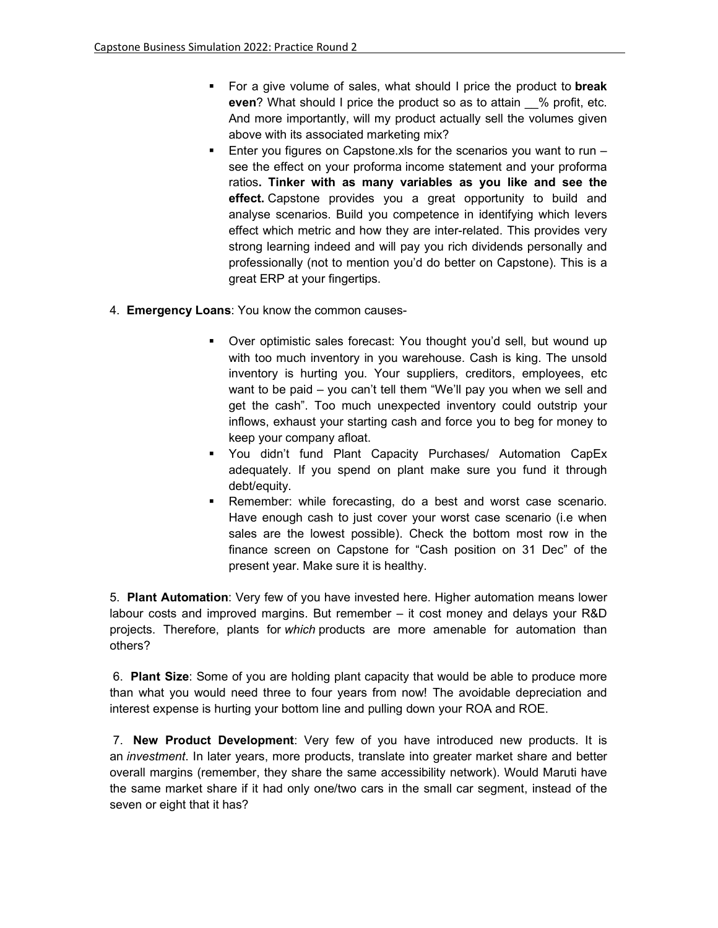- For a give volume of sales, what should I price the product to **break even**? What should I price the product so as to attain % profit, etc. And more importantly, will my product actually sell the volumes given above with its associated marketing mix?
- **Enter you figures on Capstone.xls for the scenarios you want to run** see the effect on your proforma income statement and your proforma ratios**. Tinker with as many variables as you like and see the effect.** Capstone provides you a great opportunity to build and analyse scenarios. Build you competence in identifying which levers effect which metric and how they are inter-related. This provides very strong learning indeed and will pay you rich dividends personally and professionally (not to mention you'd do better on Capstone). This is a great ERP at your fingertips.
- 4. **Emergency Loans**: You know the common causes-
	- Over optimistic sales forecast: You thought you'd sell, but wound up with too much inventory in you warehouse. Cash is king. The unsold inventory is hurting you. Your suppliers, creditors, employees, etc want to be paid – you can't tell them "We'll pay you when we sell and get the cash". Too much unexpected inventory could outstrip your inflows, exhaust your starting cash and force you to beg for money to keep your company afloat.
	- You didn't fund Plant Capacity Purchases/ Automation CapEx adequately. If you spend on plant make sure you fund it through debt/equity.
	- Remember: while forecasting, do a best and worst case scenario. Have enough cash to just cover your worst case scenario (i.e when sales are the lowest possible). Check the bottom most row in the finance screen on Capstone for "Cash position on 31 Dec" of the present year. Make sure it is healthy.

5. **Plant Automation**: Very few of you have invested here. Higher automation means lower labour costs and improved margins. But remember – it cost money and delays your R&D projects. Therefore, plants for *which* products are more amenable for automation than others?

 6. **Plant Size**: Some of you are holding plant capacity that would be able to produce more than what you would need three to four years from now! The avoidable depreciation and interest expense is hurting your bottom line and pulling down your ROA and ROE.

 7. **New Product Development**: Very few of you have introduced new products. It is an *investment*. In later years, more products, translate into greater market share and better overall margins (remember, they share the same accessibility network). Would Maruti have the same market share if it had only one/two cars in the small car segment, instead of the seven or eight that it has?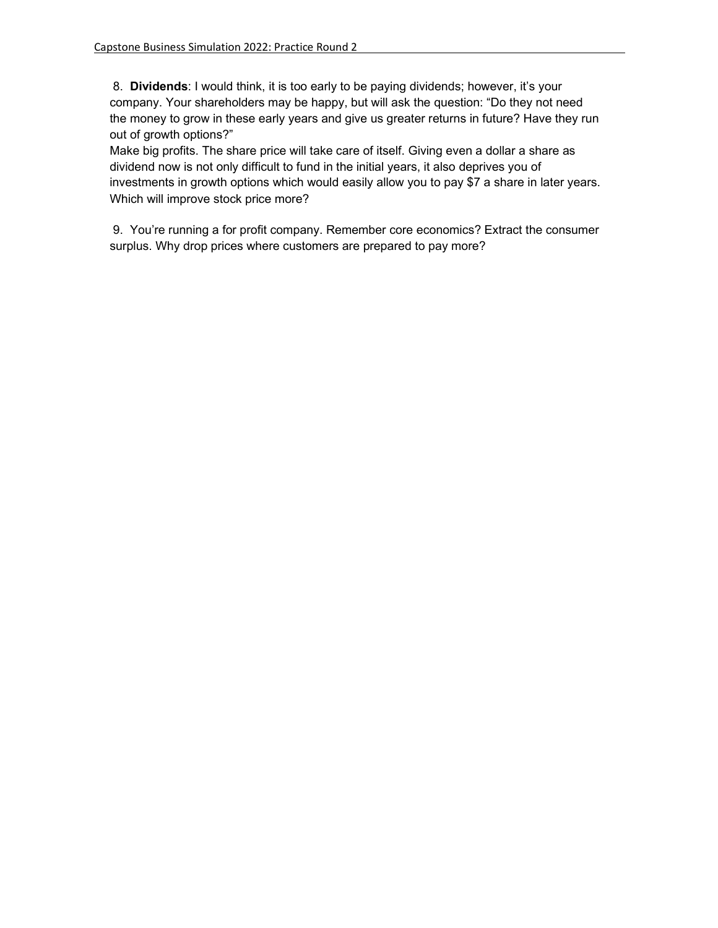8. **Dividends**: I would think, it is too early to be paying dividends; however, it's your company. Your shareholders may be happy, but will ask the question: "Do they not need the money to grow in these early years and give us greater returns in future? Have they run out of growth options?"

Make big profits. The share price will take care of itself. Giving even a dollar a share as dividend now is not only difficult to fund in the initial years, it also deprives you of investments in growth options which would easily allow you to pay \$7 a share in later years. Which will improve stock price more?

 9. You're running a for profit company. Remember core economics? Extract the consumer surplus. Why drop prices where customers are prepared to pay more?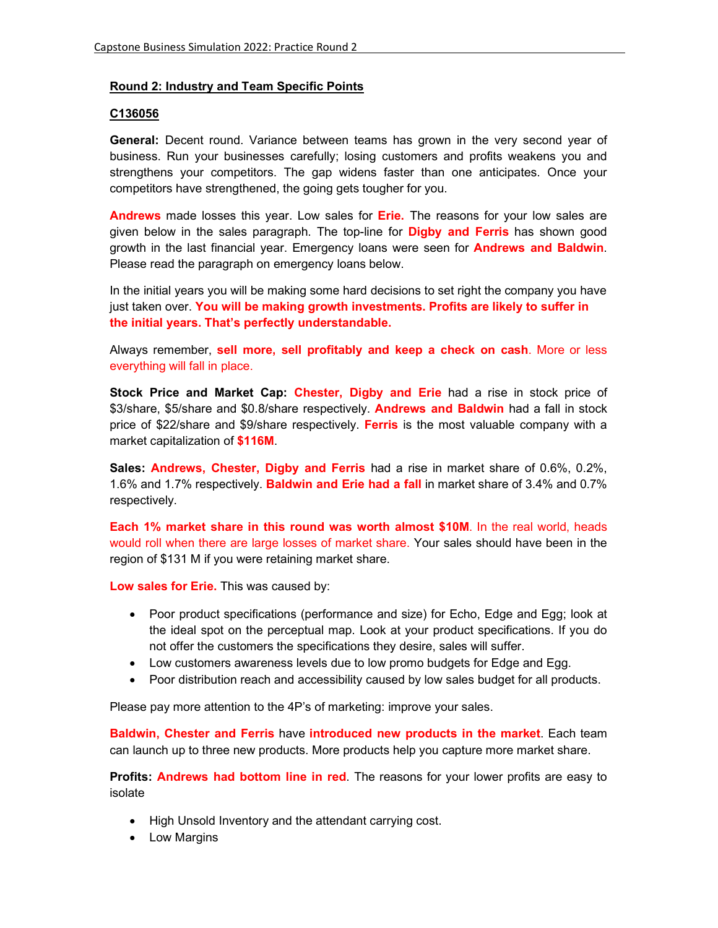## **Round 2: Industry and Team Specific Points**

### **C136056**

**General:** Decent round. Variance between teams has grown in the very second year of business. Run your businesses carefully; losing customers and profits weakens you and strengthens your competitors. The gap widens faster than one anticipates. Once your competitors have strengthened, the going gets tougher for you.

**Andrews** made losses this year. Low sales for **Erie.** The reasons for your low sales are given below in the sales paragraph. The top-line for **Digby and Ferris** has shown good growth in the last financial year. Emergency loans were seen for **Andrews and Baldwin**. Please read the paragraph on emergency loans below.

In the initial years you will be making some hard decisions to set right the company you have just taken over. **You will be making growth investments. Profits are likely to suffer in the initial years. That's perfectly understandable.** 

Always remember, **sell more, sell profitably and keep a check on cash**. More or less everything will fall in place.

**Stock Price and Market Cap: Chester, Digby and Erie** had a rise in stock price of \$3/share, \$5/share and \$0.8/share respectively. **Andrews and Baldwin** had a fall in stock price of \$22/share and \$9/share respectively. **Ferris** is the most valuable company with a market capitalization of **\$116M**.

**Sales: Andrews, Chester, Digby and Ferris** had a rise in market share of 0.6%, 0.2%, 1.6% and 1.7% respectively. **Baldwin and Erie had a fall** in market share of 3.4% and 0.7% respectively.

**Each 1% market share in this round was worth almost \$10M**. In the real world, heads would roll when there are large losses of market share. Your sales should have been in the region of \$131 M if you were retaining market share.

**Low sales for Erie.** This was caused by:

- Poor product specifications (performance and size) for Echo, Edge and Egg; look at the ideal spot on the perceptual map. Look at your product specifications. If you do not offer the customers the specifications they desire, sales will suffer.
- Low customers awareness levels due to low promo budgets for Edge and Egg.
- Poor distribution reach and accessibility caused by low sales budget for all products.

Please pay more attention to the 4P's of marketing: improve your sales.

**Baldwin, Chester and Ferris** have **introduced new products in the market**. Each team can launch up to three new products. More products help you capture more market share.

**Profits: Andrews had bottom line in red**. The reasons for your lower profits are easy to isolate

- High Unsold Inventory and the attendant carrying cost.
- Low Margins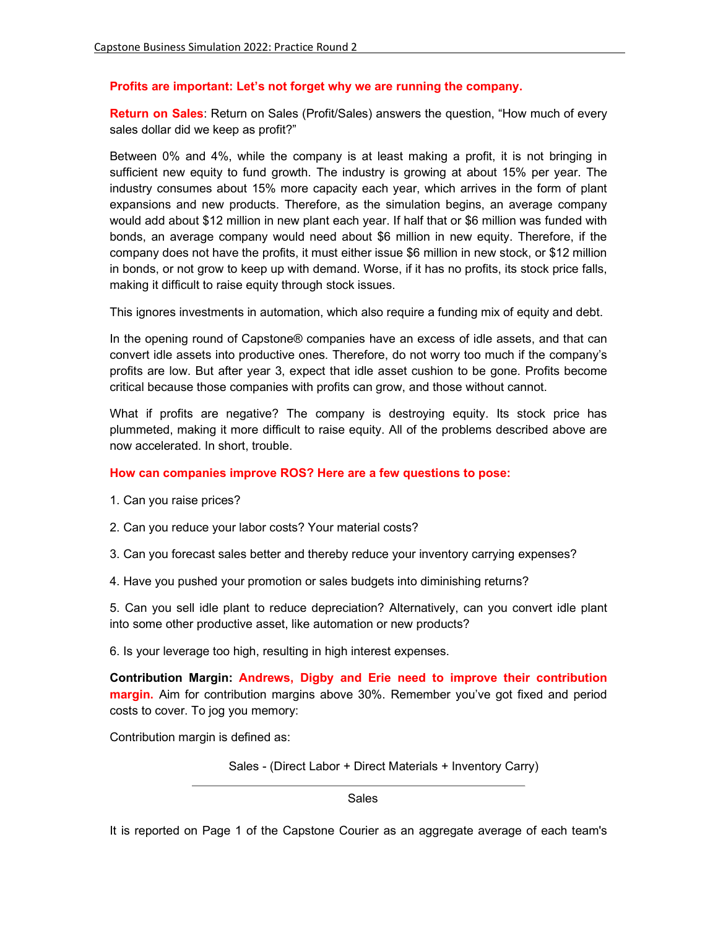## **Profits are important: Let's not forget why we are running the company.**

**Return on Sales**: Return on Sales (Profit/Sales) answers the question, "How much of every sales dollar did we keep as profit?"

Between 0% and 4%, while the company is at least making a profit, it is not bringing in sufficient new equity to fund growth. The industry is growing at about 15% per year. The industry consumes about 15% more capacity each year, which arrives in the form of plant expansions and new products. Therefore, as the simulation begins, an average company would add about \$12 million in new plant each year. If half that or \$6 million was funded with bonds, an average company would need about \$6 million in new equity. Therefore, if the company does not have the profits, it must either issue \$6 million in new stock, or \$12 million in bonds, or not grow to keep up with demand. Worse, if it has no profits, its stock price falls, making it difficult to raise equity through stock issues.

This ignores investments in automation, which also require a funding mix of equity and debt.

In the opening round of Capstone® companies have an excess of idle assets, and that can convert idle assets into productive ones. Therefore, do not worry too much if the company's profits are low. But after year 3, expect that idle asset cushion to be gone. Profits become critical because those companies with profits can grow, and those without cannot.

What if profits are negative? The company is destroying equity. Its stock price has plummeted, making it more difficult to raise equity. All of the problems described above are now accelerated. In short, trouble.

## **How can companies improve ROS? Here are a few questions to pose:**

- 1. Can you raise prices?
- 2. Can you reduce your labor costs? Your material costs?
- 3. Can you forecast sales better and thereby reduce your inventory carrying expenses?
- 4. Have you pushed your promotion or sales budgets into diminishing returns?

5. Can you sell idle plant to reduce depreciation? Alternatively, can you convert idle plant into some other productive asset, like automation or new products?

6. Is your leverage too high, resulting in high interest expenses.

**Contribution Margin: Andrews, Digby and Erie need to improve their contribution margin.** Aim for contribution margins above 30%. Remember you've got fixed and period costs to cover. To jog you memory:

Contribution margin is defined as:

Sales - (Direct Labor + Direct Materials + Inventory Carry)

Sales

It is reported on Page 1 of the Capstone Courier as an aggregate average of each team's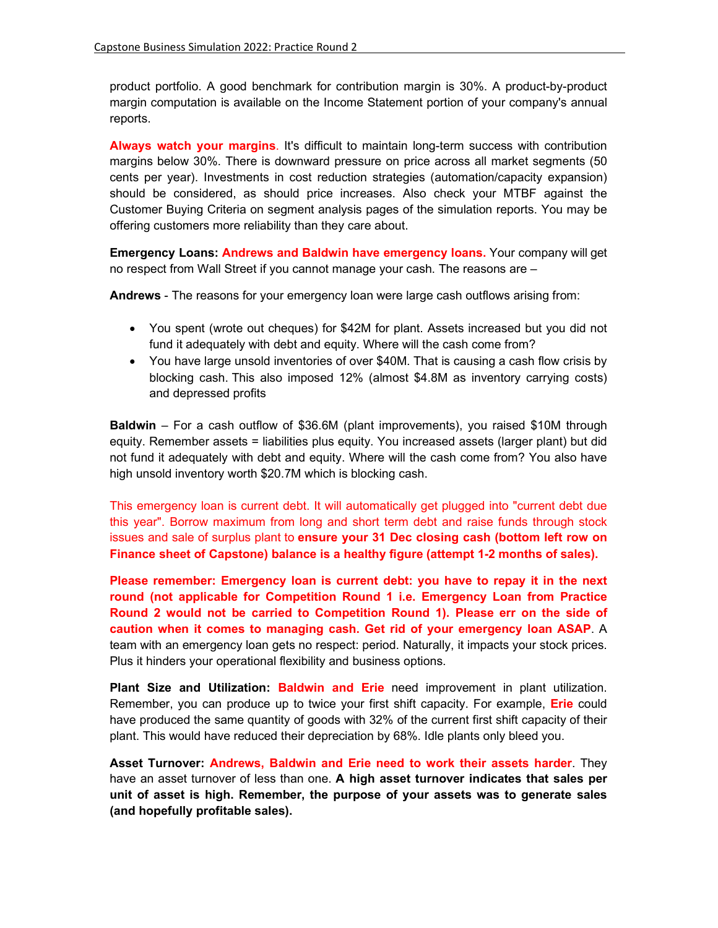product portfolio. A good benchmark for contribution margin is 30%. A product-by-product margin computation is available on the Income Statement portion of your company's annual reports.

**Always watch your margins**. It's difficult to maintain long-term success with contribution margins below 30%. There is downward pressure on price across all market segments (50 cents per year). Investments in cost reduction strategies (automation/capacity expansion) should be considered, as should price increases. Also check your MTBF against the Customer Buying Criteria on segment analysis pages of the simulation reports. You may be offering customers more reliability than they care about.

**Emergency Loans: Andrews and Baldwin have emergency loans.** Your company will get no respect from Wall Street if you cannot manage your cash. The reasons are –

**Andrews** - The reasons for your emergency loan were large cash outflows arising from:

- You spent (wrote out cheques) for \$42M for plant. Assets increased but you did not fund it adequately with debt and equity. Where will the cash come from?
- You have large unsold inventories of over \$40M. That is causing a cash flow crisis by blocking cash. This also imposed 12% (almost \$4.8M as inventory carrying costs) and depressed profits

**Baldwin** – For a cash outflow of \$36.6M (plant improvements), you raised \$10M through equity. Remember assets = liabilities plus equity. You increased assets (larger plant) but did not fund it adequately with debt and equity. Where will the cash come from? You also have high unsold inventory worth \$20.7M which is blocking cash.

This emergency loan is current debt. It will automatically get plugged into "current debt due this year". Borrow maximum from long and short term debt and raise funds through stock issues and sale of surplus plant to **ensure your 31 Dec closing cash (bottom left row on Finance sheet of Capstone) balance is a healthy figure (attempt 1-2 months of sales).** 

**Please remember: Emergency loan is current debt: you have to repay it in the next round (not applicable for Competition Round 1 i.e. Emergency Loan from Practice Round 2 would not be carried to Competition Round 1). Please err on the side of caution when it comes to managing cash. Get rid of your emergency loan ASAP**. A team with an emergency loan gets no respect: period. Naturally, it impacts your stock prices. Plus it hinders your operational flexibility and business options.

**Plant Size and Utilization: Baldwin and Erie** need improvement in plant utilization. Remember, you can produce up to twice your first shift capacity. For example, **Erie** could have produced the same quantity of goods with 32% of the current first shift capacity of their plant. This would have reduced their depreciation by 68%. Idle plants only bleed you.

**Asset Turnover: Andrews, Baldwin and Erie need to work their assets harder**. They have an asset turnover of less than one. **A high asset turnover indicates that sales per unit of asset is high. Remember, the purpose of your assets was to generate sales (and hopefully profitable sales).**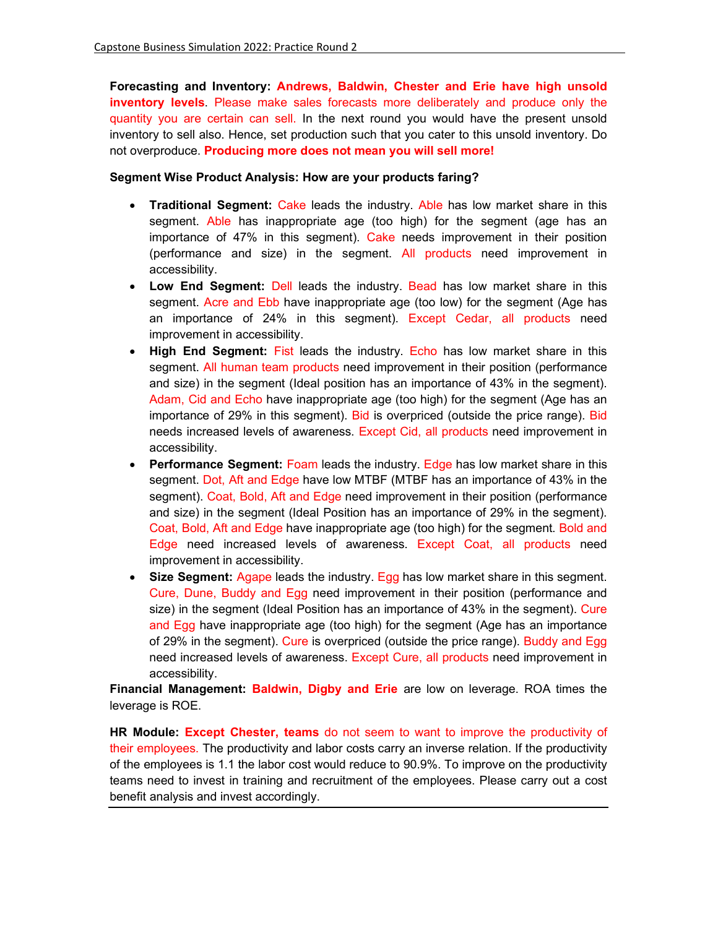**Forecasting and Inventory: Andrews, Baldwin, Chester and Erie have high unsold inventory levels**. Please make sales forecasts more deliberately and produce only the quantity you are certain can sell. In the next round you would have the present unsold inventory to sell also. Hence, set production such that you cater to this unsold inventory. Do not overproduce. **Producing more does not mean you will sell more!**

### **Segment Wise Product Analysis: How are your products faring?**

- **Traditional Segment:** Cake leads the industry. Able has low market share in this segment. Able has inappropriate age (too high) for the segment (age has an importance of 47% in this segment). Cake needs improvement in their position (performance and size) in the segment. All products need improvement in accessibility.
- **Low End Segment:** Dell leads the industry. Bead has low market share in this segment. Acre and Ebb have inappropriate age (too low) for the segment (Age has an importance of 24% in this segment). Except Cedar, all products need improvement in accessibility.
- **High End Segment:** Fist leads the industry. Echo has low market share in this segment. All human team products need improvement in their position (performance and size) in the segment (Ideal position has an importance of 43% in the segment). Adam, Cid and Echo have inappropriate age (too high) for the segment (Age has an importance of 29% in this segment). Bid is overpriced (outside the price range). Bid needs increased levels of awareness. Except Cid, all products need improvement in accessibility.
- **Performance Segment: Foam leads the industry. Edge has low market share in this** segment. Dot, Aft and Edge have low MTBF (MTBF has an importance of 43% in the segment). Coat, Bold, Aft and Edge need improvement in their position (performance and size) in the segment (Ideal Position has an importance of 29% in the segment). Coat, Bold, Aft and Edge have inappropriate age (too high) for the segment. Bold and Edge need increased levels of awareness. Except Coat, all products need improvement in accessibility.
- **Size Segment:** Agape leads the industry. Egg has low market share in this segment. Cure, Dune, Buddy and Egg need improvement in their position (performance and size) in the segment (Ideal Position has an importance of 43% in the segment). Cure and Egg have inappropriate age (too high) for the segment (Age has an importance of 29% in the segment). Cure is overpriced (outside the price range). Buddy and Egg need increased levels of awareness. Except Cure, all products need improvement in accessibility.

**Financial Management: Baldwin, Digby and Erie** are low on leverage. ROA times the leverage is ROE.

**HR Module: Except Chester, teams** do not seem to want to improve the productivity of their employees. The productivity and labor costs carry an inverse relation. If the productivity of the employees is 1.1 the labor cost would reduce to 90.9%. To improve on the productivity teams need to invest in training and recruitment of the employees. Please carry out a cost benefit analysis and invest accordingly.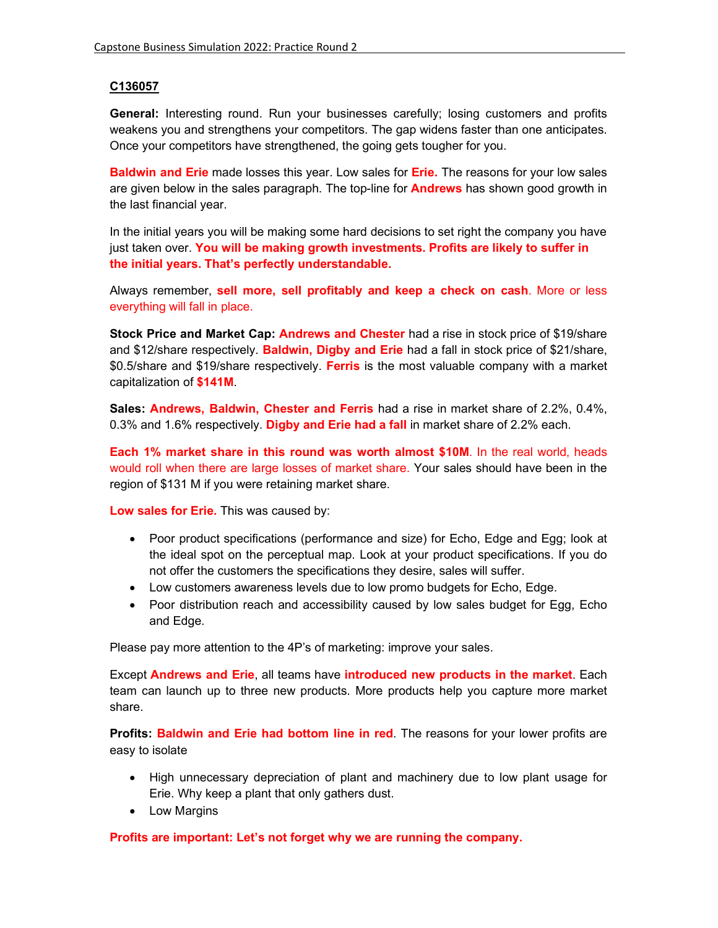# **C136057**

**General:** Interesting round. Run your businesses carefully; losing customers and profits weakens you and strengthens your competitors. The gap widens faster than one anticipates. Once your competitors have strengthened, the going gets tougher for you.

**Baldwin and Erie** made losses this year. Low sales for **Erie.** The reasons for your low sales are given below in the sales paragraph. The top-line for **Andrews** has shown good growth in the last financial year.

In the initial years you will be making some hard decisions to set right the company you have just taken over. **You will be making growth investments. Profits are likely to suffer in the initial years. That's perfectly understandable.** 

Always remember, **sell more, sell profitably and keep a check on cash**. More or less everything will fall in place.

**Stock Price and Market Cap: Andrews and Chester** had a rise in stock price of \$19/share and \$12/share respectively. **Baldwin, Digby and Erie** had a fall in stock price of \$21/share, \$0.5/share and \$19/share respectively. **Ferris** is the most valuable company with a market capitalization of **\$141M**.

**Sales: Andrews, Baldwin, Chester and Ferris** had a rise in market share of 2.2%, 0.4%, 0.3% and 1.6% respectively. **Digby and Erie had a fall** in market share of 2.2% each.

**Each 1% market share in this round was worth almost \$10M**. In the real world, heads would roll when there are large losses of market share. Your sales should have been in the region of \$131 M if you were retaining market share.

**Low sales for Erie.** This was caused by:

- Poor product specifications (performance and size) for Echo, Edge and Egg; look at the ideal spot on the perceptual map. Look at your product specifications. If you do not offer the customers the specifications they desire, sales will suffer.
- Low customers awareness levels due to low promo budgets for Echo, Edge.
- Poor distribution reach and accessibility caused by low sales budget for Egg, Echo and Edge.

Please pay more attention to the 4P's of marketing: improve your sales.

Except **Andrews and Erie**, all teams have **introduced new products in the market**. Each team can launch up to three new products. More products help you capture more market share.

**Profits: Baldwin and Erie had bottom line in red**. The reasons for your lower profits are easy to isolate

- High unnecessary depreciation of plant and machinery due to low plant usage for Erie. Why keep a plant that only gathers dust.
- Low Margins

**Profits are important: Let's not forget why we are running the company.**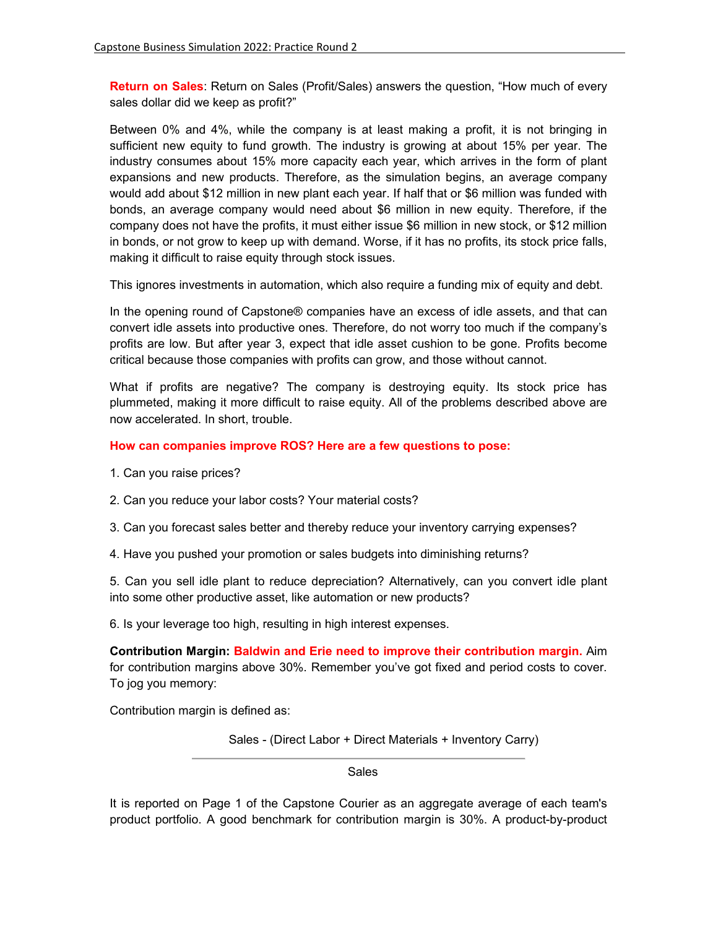**Return on Sales**: Return on Sales (Profit/Sales) answers the question, "How much of every sales dollar did we keep as profit?"

Between 0% and 4%, while the company is at least making a profit, it is not bringing in sufficient new equity to fund growth. The industry is growing at about 15% per year. The industry consumes about 15% more capacity each year, which arrives in the form of plant expansions and new products. Therefore, as the simulation begins, an average company would add about \$12 million in new plant each year. If half that or \$6 million was funded with bonds, an average company would need about \$6 million in new equity. Therefore, if the company does not have the profits, it must either issue \$6 million in new stock, or \$12 million in bonds, or not grow to keep up with demand. Worse, if it has no profits, its stock price falls, making it difficult to raise equity through stock issues.

This ignores investments in automation, which also require a funding mix of equity and debt.

In the opening round of Capstone® companies have an excess of idle assets, and that can convert idle assets into productive ones. Therefore, do not worry too much if the company's profits are low. But after year 3, expect that idle asset cushion to be gone. Profits become critical because those companies with profits can grow, and those without cannot.

What if profits are negative? The company is destroying equity. Its stock price has plummeted, making it more difficult to raise equity. All of the problems described above are now accelerated. In short, trouble.

### **How can companies improve ROS? Here are a few questions to pose:**

- 1. Can you raise prices?
- 2. Can you reduce your labor costs? Your material costs?
- 3. Can you forecast sales better and thereby reduce your inventory carrying expenses?
- 4. Have you pushed your promotion or sales budgets into diminishing returns?

5. Can you sell idle plant to reduce depreciation? Alternatively, can you convert idle plant into some other productive asset, like automation or new products?

6. Is your leverage too high, resulting in high interest expenses.

**Contribution Margin: Baldwin and Erie need to improve their contribution margin.** Aim for contribution margins above 30%. Remember you've got fixed and period costs to cover. To jog you memory:

Contribution margin is defined as:

Sales - (Direct Labor + Direct Materials + Inventory Carry)

Sales

It is reported on Page 1 of the Capstone Courier as an aggregate average of each team's product portfolio. A good benchmark for contribution margin is 30%. A product-by-product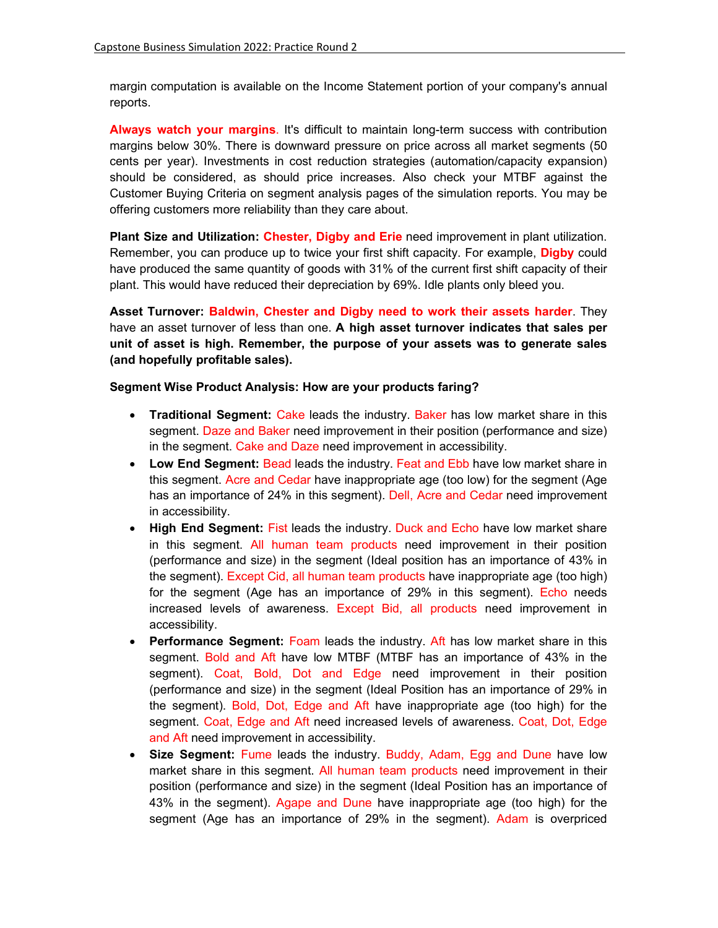margin computation is available on the Income Statement portion of your company's annual reports.

**Always watch your margins**. It's difficult to maintain long-term success with contribution margins below 30%. There is downward pressure on price across all market segments (50 cents per year). Investments in cost reduction strategies (automation/capacity expansion) should be considered, as should price increases. Also check your MTBF against the Customer Buying Criteria on segment analysis pages of the simulation reports. You may be offering customers more reliability than they care about.

**Plant Size and Utilization: Chester, Digby and Erie** need improvement in plant utilization. Remember, you can produce up to twice your first shift capacity. For example, **Digby** could have produced the same quantity of goods with 31% of the current first shift capacity of their plant. This would have reduced their depreciation by 69%. Idle plants only bleed you.

**Asset Turnover: Baldwin, Chester and Digby need to work their assets harder**. They have an asset turnover of less than one. **A high asset turnover indicates that sales per unit of asset is high. Remember, the purpose of your assets was to generate sales (and hopefully profitable sales).** 

### **Segment Wise Product Analysis: How are your products faring?**

- **Traditional Segment:** Cake leads the industry. Baker has low market share in this segment. Daze and Baker need improvement in their position (performance and size) in the segment. Cake and Daze need improvement in accessibility.
- **Low End Segment:** Bead leads the industry. Feat and Ebb have low market share in this segment. Acre and Cedar have inappropriate age (too low) for the segment (Age has an importance of 24% in this segment). Dell, Acre and Cedar need improvement in accessibility.
- **High End Segment:** Fist leads the industry. Duck and Echo have low market share in this segment. All human team products need improvement in their position (performance and size) in the segment (Ideal position has an importance of 43% in the segment). Except Cid, all human team products have inappropriate age (too high) for the segment (Age has an importance of 29% in this segment). Echo needs increased levels of awareness. Except Bid, all products need improvement in accessibility.
- **Performance Segment:** Foam leads the industry. Aft has low market share in this segment. Bold and Aft have low MTBF (MTBF has an importance of 43% in the segment). Coat, Bold, Dot and Edge need improvement in their position (performance and size) in the segment (Ideal Position has an importance of 29% in the segment). Bold, Dot, Edge and Aft have inappropriate age (too high) for the segment. Coat, Edge and Aft need increased levels of awareness. Coat, Dot, Edge and Aft need improvement in accessibility.
- **Size Segment:** Fume leads the industry. Buddy, Adam, Egg and Dune have low market share in this segment. All human team products need improvement in their position (performance and size) in the segment (Ideal Position has an importance of 43% in the segment). Agape and Dune have inappropriate age (too high) for the segment (Age has an importance of 29% in the segment). Adam is overpriced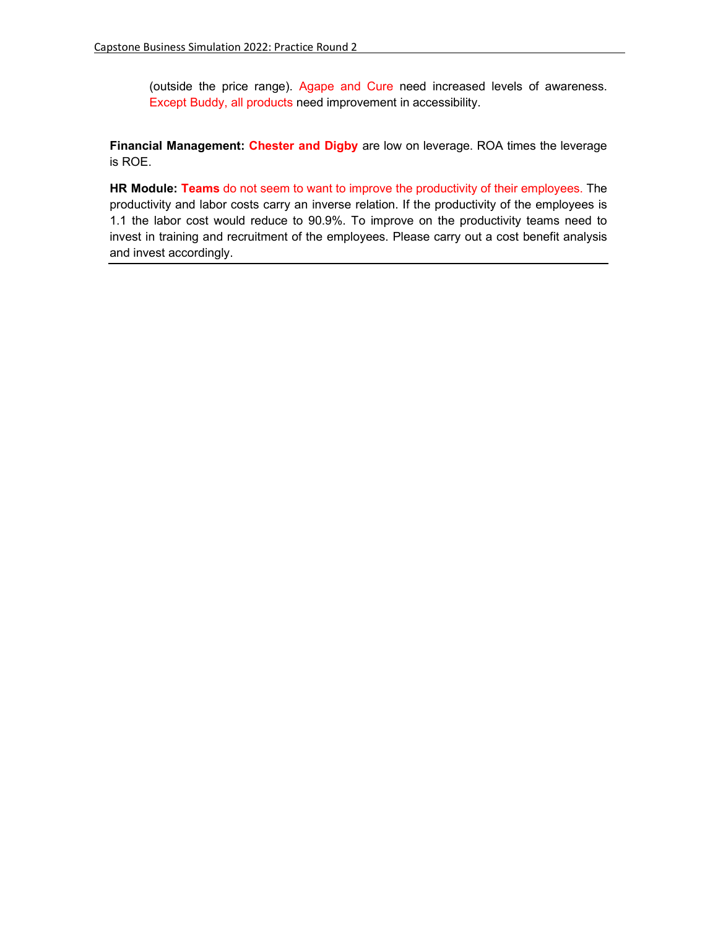(outside the price range). Agape and Cure need increased levels of awareness. Except Buddy, all products need improvement in accessibility.

**Financial Management: Chester and Digby** are low on leverage. ROA times the leverage is ROE.

**HR Module: Teams** do not seem to want to improve the productivity of their employees. The productivity and labor costs carry an inverse relation. If the productivity of the employees is 1.1 the labor cost would reduce to 90.9%. To improve on the productivity teams need to invest in training and recruitment of the employees. Please carry out a cost benefit analysis and invest accordingly.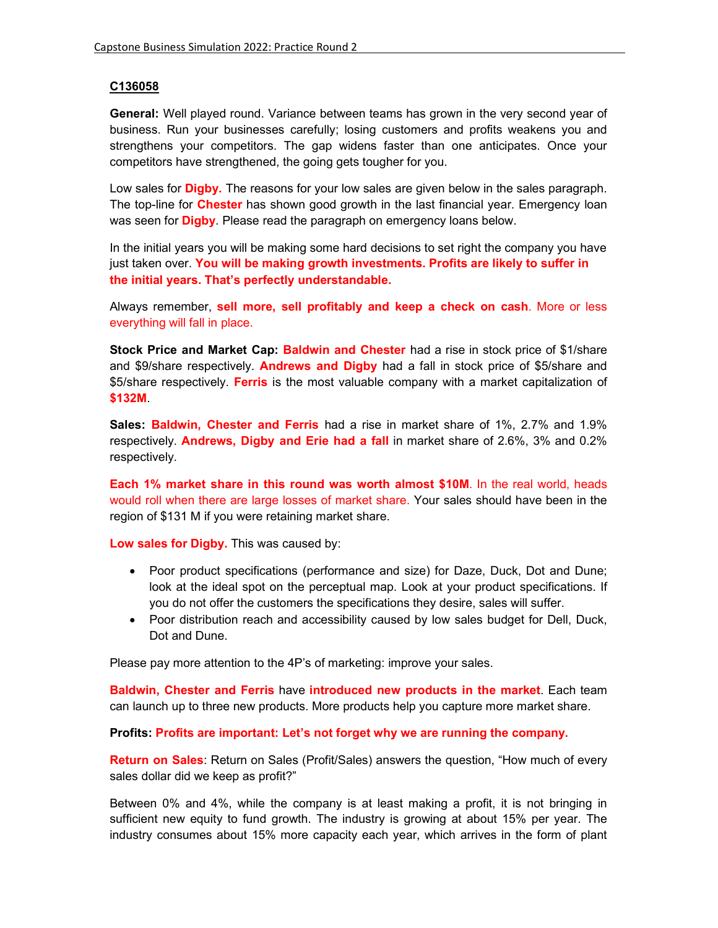## **C136058**

**General:** Well played round. Variance between teams has grown in the very second year of business. Run your businesses carefully; losing customers and profits weakens you and strengthens your competitors. The gap widens faster than one anticipates. Once your competitors have strengthened, the going gets tougher for you.

Low sales for **Digby.** The reasons for your low sales are given below in the sales paragraph. The top-line for **Chester** has shown good growth in the last financial year. Emergency loan was seen for **Digby**. Please read the paragraph on emergency loans below.

In the initial years you will be making some hard decisions to set right the company you have just taken over. **You will be making growth investments. Profits are likely to suffer in the initial years. That's perfectly understandable.** 

Always remember, **sell more, sell profitably and keep a check on cash**. More or less everything will fall in place.

**Stock Price and Market Cap: Baldwin and Chester** had a rise in stock price of \$1/share and \$9/share respectively. **Andrews and Digby** had a fall in stock price of \$5/share and \$5/share respectively. **Ferris** is the most valuable company with a market capitalization of **\$132M**.

**Sales: Baldwin, Chester and Ferris** had a rise in market share of 1%, 2.7% and 1.9% respectively. **Andrews, Digby and Erie had a fall** in market share of 2.6%, 3% and 0.2% respectively.

**Each 1% market share in this round was worth almost \$10M**. In the real world, heads would roll when there are large losses of market share. Your sales should have been in the region of \$131 M if you were retaining market share.

**Low sales for Digby.** This was caused by:

- Poor product specifications (performance and size) for Daze, Duck, Dot and Dune; look at the ideal spot on the perceptual map. Look at your product specifications. If you do not offer the customers the specifications they desire, sales will suffer.
- Poor distribution reach and accessibility caused by low sales budget for Dell, Duck, Dot and Dune.

Please pay more attention to the 4P's of marketing: improve your sales.

**Baldwin, Chester and Ferris** have **introduced new products in the market**. Each team can launch up to three new products. More products help you capture more market share.

#### **Profits: Profits are important: Let's not forget why we are running the company.**

**Return on Sales**: Return on Sales (Profit/Sales) answers the question, "How much of every sales dollar did we keep as profit?"

Between 0% and 4%, while the company is at least making a profit, it is not bringing in sufficient new equity to fund growth. The industry is growing at about 15% per year. The industry consumes about 15% more capacity each year, which arrives in the form of plant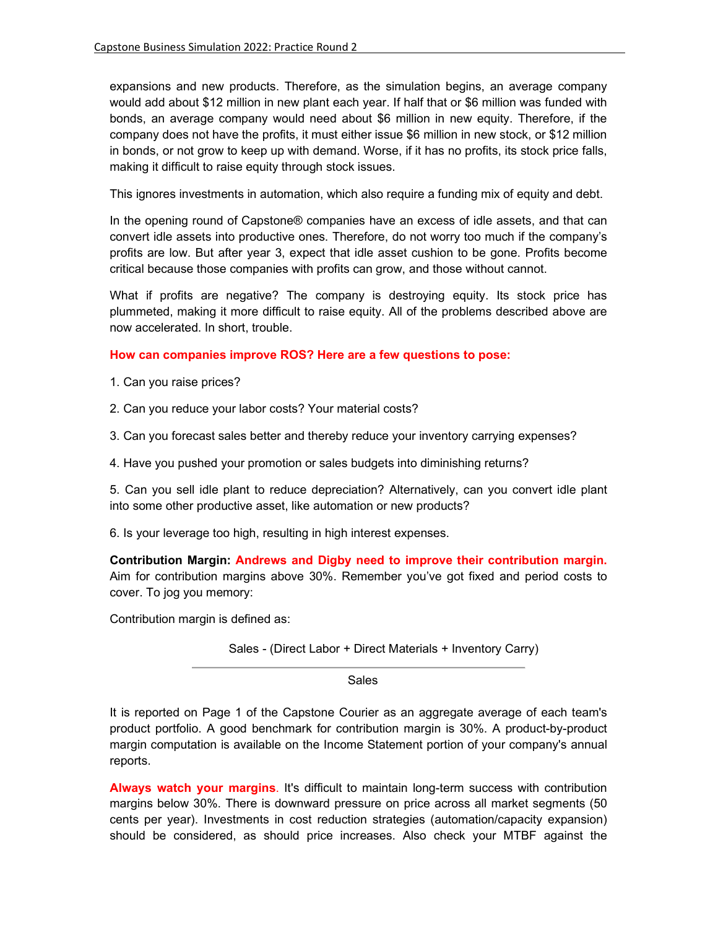expansions and new products. Therefore, as the simulation begins, an average company would add about \$12 million in new plant each year. If half that or \$6 million was funded with bonds, an average company would need about \$6 million in new equity. Therefore, if the company does not have the profits, it must either issue \$6 million in new stock, or \$12 million in bonds, or not grow to keep up with demand. Worse, if it has no profits, its stock price falls, making it difficult to raise equity through stock issues.

This ignores investments in automation, which also require a funding mix of equity and debt.

In the opening round of Capstone® companies have an excess of idle assets, and that can convert idle assets into productive ones. Therefore, do not worry too much if the company's profits are low. But after year 3, expect that idle asset cushion to be gone. Profits become critical because those companies with profits can grow, and those without cannot.

What if profits are negative? The company is destroying equity. Its stock price has plummeted, making it more difficult to raise equity. All of the problems described above are now accelerated. In short, trouble.

### **How can companies improve ROS? Here are a few questions to pose:**

- 1. Can you raise prices?
- 2. Can you reduce your labor costs? Your material costs?
- 3. Can you forecast sales better and thereby reduce your inventory carrying expenses?
- 4. Have you pushed your promotion or sales budgets into diminishing returns?

5. Can you sell idle plant to reduce depreciation? Alternatively, can you convert idle plant into some other productive asset, like automation or new products?

6. Is your leverage too high, resulting in high interest expenses.

**Contribution Margin: Andrews and Digby need to improve their contribution margin.**  Aim for contribution margins above 30%. Remember you've got fixed and period costs to cover. To jog you memory:

Contribution margin is defined as:

Sales - (Direct Labor + Direct Materials + Inventory Carry)

Sales

It is reported on Page 1 of the Capstone Courier as an aggregate average of each team's product portfolio. A good benchmark for contribution margin is 30%. A product-by-product margin computation is available on the Income Statement portion of your company's annual reports.

**Always watch your margins**. It's difficult to maintain long-term success with contribution margins below 30%. There is downward pressure on price across all market segments (50 cents per year). Investments in cost reduction strategies (automation/capacity expansion) should be considered, as should price increases. Also check your MTBF against the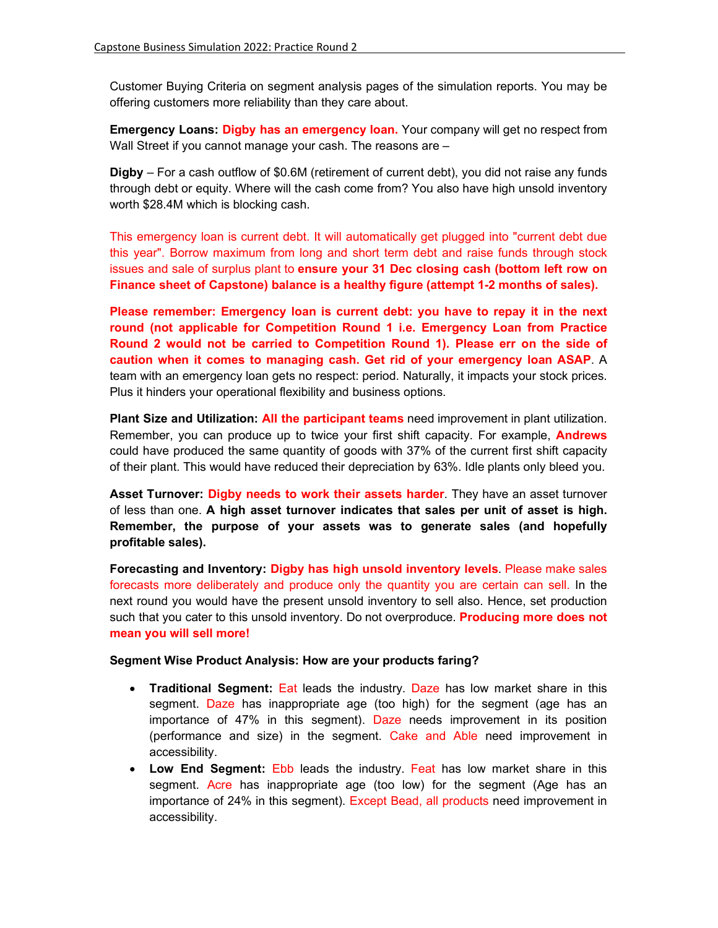Customer Buying Criteria on segment analysis pages of the simulation reports. You may be offering customers more reliability than they care about.

**Emergency Loans: Digby has an emergency loan.** Your company will get no respect from Wall Street if you cannot manage your cash. The reasons are –

**Digby** – For a cash outflow of \$0.6M (retirement of current debt), you did not raise any funds through debt or equity. Where will the cash come from? You also have high unsold inventory worth \$28.4M which is blocking cash.

This emergency loan is current debt. It will automatically get plugged into "current debt due this year". Borrow maximum from long and short term debt and raise funds through stock issues and sale of surplus plant to **ensure your 31 Dec closing cash (bottom left row on Finance sheet of Capstone) balance is a healthy figure (attempt 1-2 months of sales).** 

**Please remember: Emergency loan is current debt: you have to repay it in the next round (not applicable for Competition Round 1 i.e. Emergency Loan from Practice Round 2 would not be carried to Competition Round 1). Please err on the side of caution when it comes to managing cash. Get rid of your emergency loan ASAP**. A team with an emergency loan gets no respect: period. Naturally, it impacts your stock prices. Plus it hinders your operational flexibility and business options.

**Plant Size and Utilization: All the participant teams** need improvement in plant utilization. Remember, you can produce up to twice your first shift capacity. For example, **Andrews** could have produced the same quantity of goods with 37% of the current first shift capacity of their plant. This would have reduced their depreciation by 63%. Idle plants only bleed you.

**Asset Turnover: Digby needs to work their assets harder**. They have an asset turnover of less than one. **A high asset turnover indicates that sales per unit of asset is high. Remember, the purpose of your assets was to generate sales (and hopefully profitable sales).** 

**Forecasting and Inventory: Digby has high unsold inventory levels**. Please make sales forecasts more deliberately and produce only the quantity you are certain can sell. In the next round you would have the present unsold inventory to sell also. Hence, set production such that you cater to this unsold inventory. Do not overproduce. **Producing more does not mean you will sell more!**

#### **Segment Wise Product Analysis: How are your products faring?**

- **Traditional Segment:** Eat leads the industry. Daze has low market share in this segment. Daze has inappropriate age (too high) for the segment (age has an importance of 47% in this segment). Daze needs improvement in its position (performance and size) in the segment. Cake and Able need improvement in accessibility.
- **Low End Segment:** Ebb leads the industry. Feat has low market share in this segment. Acre has inappropriate age (too low) for the segment (Age has an importance of 24% in this segment). Except Bead, all products need improvement in accessibility.